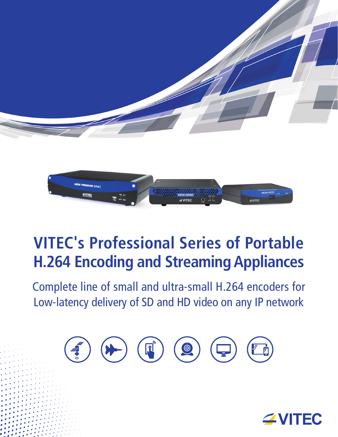



# **VITEC's Professional Series of Portable H.264 Encoding and Streaming Appliances**

Complete line of small and ultra-small H.264 encoders for Low-latency delivery of SD and HD video on any IP network



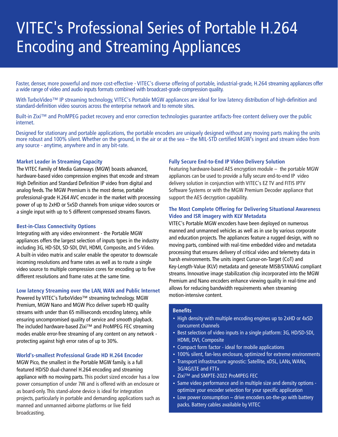# VITEC's Professional Series of Portable H.264 Encoding and Streaming Appliances

Faster, denser, more powerful and more cost-effective - VITEC's diverse offering of portable, industrial-grade, H.264 streaming appliances offer a wide range of video and audio inputs formats combined with broadcast-grade compression quality.

With TurboVideo™ IP streaming technology, VITEC's Portable MGW appliances are ideal for low latency distribution of high-definition and standard-definition video sources across the enterprise network and to remote sites.

Built-in Zixi™ and ProMPEG packet recovery and error correction technologies guarantee artifacts-free content delivery over the public internet.

Designed for stationary and portable applications, the portable encoders are uniquely designed without any moving parts making the units more robust and 100% silent. Whether on the ground, in the air or at the sea – the MIL-STD certified MGW's ingest and stream video from any source - anytime, anywhere and in any bit-rate.

#### **Market Leader in Streaming Capacity**

The VITEC Family of Media Gateways (MGW) boasts advanced, hardware-based video compression engines that encode and stream High Definition and Standard Definition IP video from digital and analog feeds. The MGW Premium is the most dense, portable professional-grade H.264 AVC encoder in the market with processing power of up to 2xHD or 5xSD channels from unique video sources or a single input with up to 5 different compressed streams flavors.

#### **Best-in-Class Connectivity Options**

Integrating with any video environment - the Portable MGW appliances offers the largest selection of inputs types in the industry including 3G, HD-SDI, SD-SDI, DVI, HDMI, Composite, and S-Video. A built-in video matrix and scaler enable the operator to downscale incoming resolutions and frame rates as well as to route a single video source to multiple compression cores for encoding up to five different resolutions and frame rates at the same time.

#### **Low latency Streaming over the LAN, WAN and Public Internet**

Powered by VITEC's TurboVideo™ streaming technology. MGW Premium, MGW Nano and MGW Pico deliver superb HD quality streams with under than 65 milliseconds encoding latency, while ensuring uncompromised quality of service and smooth playback. The included hardware-based Zixi™ and ProMPEG FEC streaming modes enable error-free streaming of any content on any network protecting against high error rates of up to 30%.

#### **World's-smallest Professional Grade HD H.264 Encoder**

MGW Pico, the smallest in the Portable MGW family, is a full featured HD/SD dual-channel H.264 encoding and streaming appliance with no moving parts. This pocket sized encoder has a low power consumption of under 7W and is offered with an enclosure or as board-only. This stand-alone device is ideal for integration projects, particularly in portable and demanding applications such as manned and unmanned airborne platforms or live field broadcasting.

#### **Fully Secure End-to-End IP Video Delivery Solution**

Featuring hardware-based AES encryption module – the portable MGW appliances can be used to provide a fully secure end-to-end IP video delivery solution in conjunction with VITEC's EZ TV and FITIS IPTV Software Systems or with the MGW Premium Decoder appliance that support the AES decryption capability.

#### **The Most Complete Offering for Delivering Situational Awareness Video and ISR imagery with KLV Metadata**

VITEC's Portable MGW encoders have been deployed on numerous manned and unmanned vehicles as well as in use by various corporate and education projects. The appliances feature a rugged design, with no moving parts, combined with real-time embedded video and metadata processing that ensures delivery of critical video and telemetry data in harsh environments. The units ingest Cursor-on-Target (CoT) and Key-Length-Value (KLV) metadata and generate MISB/STANAG compliant streams. Innovative image stabilization chip incorporated into the MGW Premium and Nano encoders enhance viewing quality in real-time and allows for reducing bandwidth requirements when streaming motion-intensive content.

#### **Benefits**

- High density with multiple encoding engines up to 2xHD or 4xSD concurrent channels
- Best selection of video inputs in a single platform: 3G, HD/SD-SDI, HDMI, DVI, Composite
- Compact form factor ideal for mobile applications
- 100% silent, fan-less enclosure, optimized for extreme environments
- Transport infrastructure agnostic: Satellite, xDSL, LANs, WANs, 3G/4G/LTE and FTTx
- Zixi™ and SMPTE-2022 ProMPEG FEC
- Same video performance and in multiple size and density options optimize your encoder selection for your specific application
- Low power consumption drive encoders on-the-go with battery packs. Battery cables available by VITEC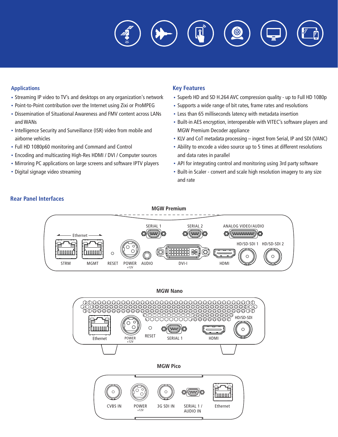$\ddot{\textcircled{\ }}$ 

#### **Applications**

- Streaming IP video to TV's and desktops on any organization's network
- Point-to-Point contribution over the Internet using Zixi or ProMPEG
- Dissemination of Situational Awareness and FMV content across LANs and WANs
- Intelligence Security and Surveillance (ISR) video from mobile and airborne vehicles
- Full HD 1080p60 monitoring and Command and Control
- Encoding and multicasting High-Res HDMI / DVI / Computer sources
- Mirroring PC applications on large screens and software IPTV players
- Digital signage video streaming

#### **Key Features**

- Superb HD and SD H.264 AVC compression quality up to Full HD 1080p
- Supports a wide range of bit rates, frame rates and resolutions
- Less than 65 milliseconds latency with metadata insertion
- Built-in AES encryption, interoperable with VITEC's software players and MGW Premium Decoder appliance
- KLV and CoT metadata processing ingest from Serial, IP and SDI (VANC)
- Ability to encode a video source up to 5 times at different resolutions and data rates in parallel
- API for integrating control and monitoring using 3rd party software
- Built-in Scaler convert and scale high resolution imagery to any size and rate









## **Rear Panel Interfaces**